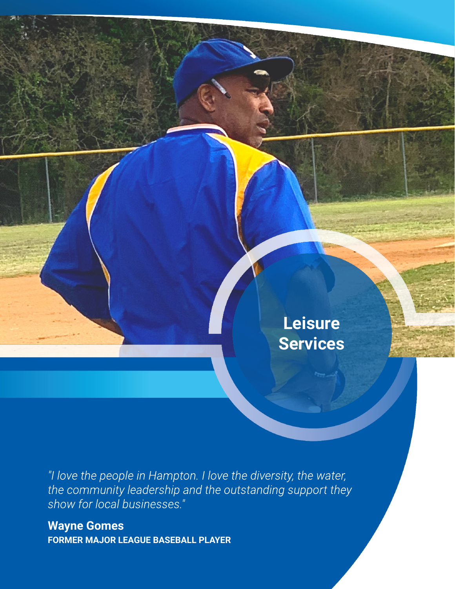

"I love the people in Hampton. I love the diversity, the water, the community leadership and the outstanding support they<br>show for local businesses."

**Wayne Gomes FORMER MAJOR LEAGUE BASEBALL PLAYER**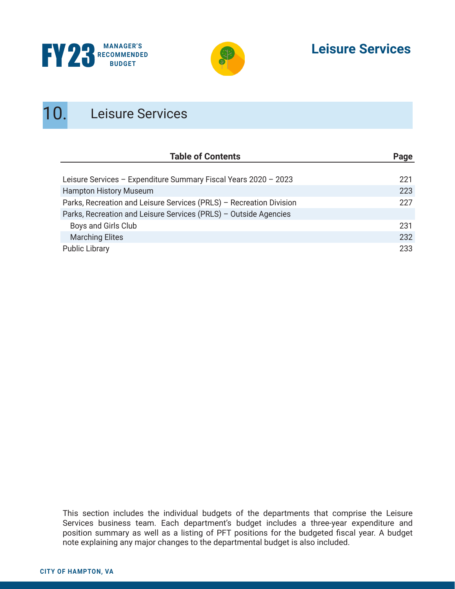



# **Leisure Services**

# 10. Leisure Services

| <b>Table of Contents</b>                                            | Page |
|---------------------------------------------------------------------|------|
|                                                                     |      |
| Leisure Services - Expenditure Summary Fiscal Years 2020 - 2023     | 221  |
| <b>Hampton History Museum</b>                                       | 223  |
| Parks, Recreation and Leisure Services (PRLS) - Recreation Division | 227  |
| Parks, Recreation and Leisure Services (PRLS) - Outside Agencies    |      |
| Boys and Girls Club                                                 | 231  |
| <b>Marching Elites</b>                                              | 232  |
| <b>Public Library</b>                                               | 233  |

This section includes the individual budgets of the departments that comprise the Leisure Services business team. Each department's budget includes a three-year expenditure and position summary as well as a listing of PFT positions for the budgeted fiscal year. A budget note explaining any major changes to the departmental budget is also included.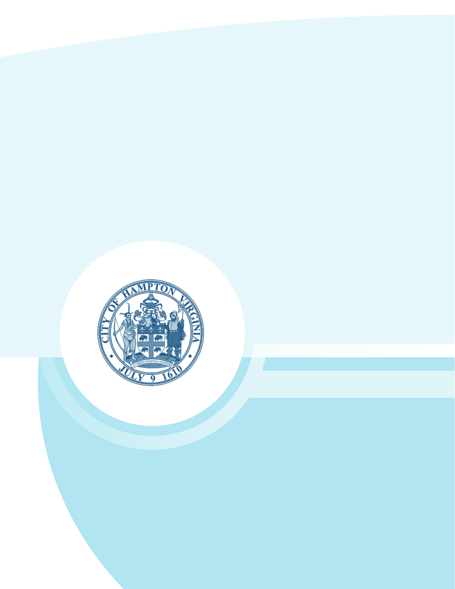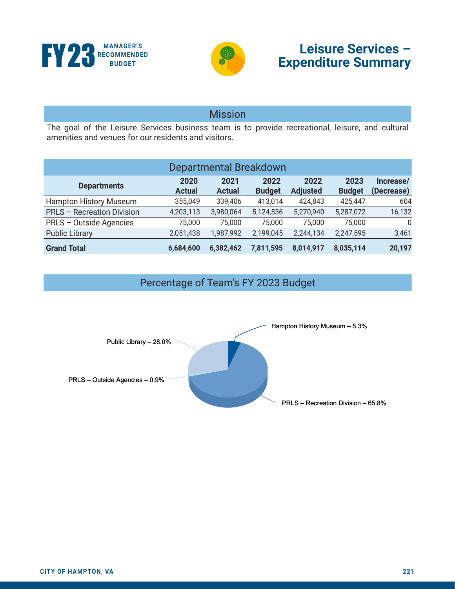



# **Leisure Services – Expenditure Summary**

## Mission

The goal of the Leisure Services business team is to provide recreational, leisure, and cultural amenities and venues for our residents and visitors.

| Departmental Breakdown            |                       |                       |                       |                         |                       |                         |  |  |  |
|-----------------------------------|-----------------------|-----------------------|-----------------------|-------------------------|-----------------------|-------------------------|--|--|--|
| <b>Departments</b>                | 2020<br><b>Actual</b> | 2021<br><b>Actual</b> | 2022<br><b>Budget</b> | 2022<br><b>Adjusted</b> | 2023<br><b>Budget</b> | Increase/<br>(Decrease) |  |  |  |
| <b>Hampton History Museum</b>     | 355,049               | 339,406               | 413,014               | 424,843                 | 425,447               | 604                     |  |  |  |
| <b>PRLS - Recreation Division</b> | 4,203,113             | 3,980,064             | 5,124,536             | 5,270,940               | 5,287,072             | 16,132                  |  |  |  |
| PRLS - Outside Agencies           | 75,000                | 75,000                | 75,000                | 75,000                  | 75,000                | $\Omega$                |  |  |  |
| <b>Public Library</b>             | 2,051,438             | 1,987,992             | 2,199,045             | 2,244,134               | 2,247,595             | 3,461                   |  |  |  |
| <b>Grand Total</b>                | 6,684,600             | 6,382,462             | 7,811,595             | 8,014,917               | 8,035,114             | 20,197                  |  |  |  |

## Percentage of Team's FY 2023 Budget

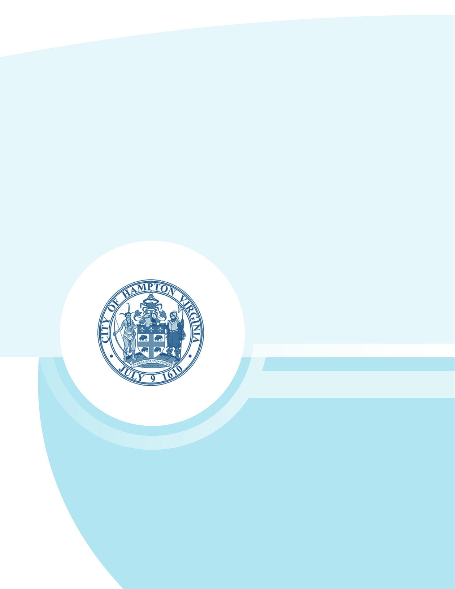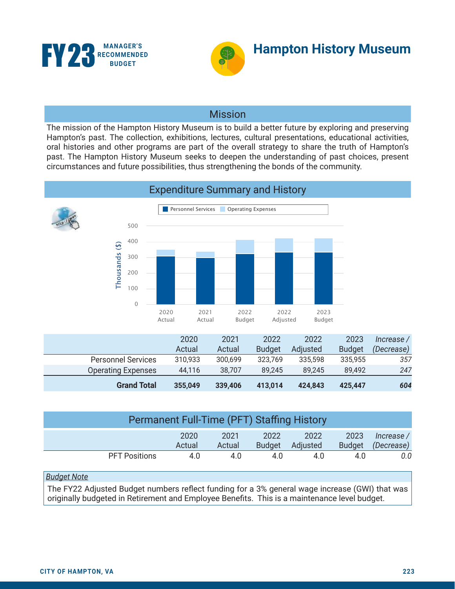



# **Hampton History Museum**

## Mission

The mission of the Hampton History Museum is to build a better future by exploring and preserving Hampton's past. The collection, exhibitions, lectures, cultural presentations, educational activities, oral histories and other programs are part of the overall strategy to share the truth of Hampton's past. The Hampton History Museum seeks to deepen the understanding of past choices, present circumstances and future possibilities, thus strengthening the bonds of the community.



## Expenditure Summary and History

| <b>Grand Total</b>        | 355,049        | 339,406        | 413.014               | 424.843          | 425,447               | 604                      |
|---------------------------|----------------|----------------|-----------------------|------------------|-----------------------|--------------------------|
| <b>Operating Expenses</b> | 44.116         | 38,707         | 89.245                | 89.245           | 89.492                | 247                      |
| <b>Personnel Services</b> | 310,933        | 300.699        | 323.769               | 335,598          | 335,955               | 357                      |
|                           | 2020<br>Actual | 2021<br>Actual | 2022<br><b>Budget</b> | 2022<br>Adjusted | 2023<br><b>Budget</b> | Increase /<br>(Decrease) |

| Permanent Full-Time (PFT) Staffing History                                                                                                                                                     |                |                |                       |                  |                       |                          |  |  |  |
|------------------------------------------------------------------------------------------------------------------------------------------------------------------------------------------------|----------------|----------------|-----------------------|------------------|-----------------------|--------------------------|--|--|--|
|                                                                                                                                                                                                | 2020<br>Actual | 2021<br>Actual | 2022<br><b>Budget</b> | 2022<br>Adjusted | 2023<br><b>Budget</b> | Increase /<br>(Decrease) |  |  |  |
| <b>PFT Positions</b>                                                                                                                                                                           | 4.0            | 4.0            | 4.0                   | 4.0              | 4.0                   | 0.0                      |  |  |  |
| <b>Budget Note</b>                                                                                                                                                                             |                |                |                       |                  |                       |                          |  |  |  |
| The FY22 Adjusted Budget numbers reflect funding for a 3% general wage increase (GWI) that was<br>originally budgeted in Retirement and Employee Benefits. This is a maintenance level budget. |                |                |                       |                  |                       |                          |  |  |  |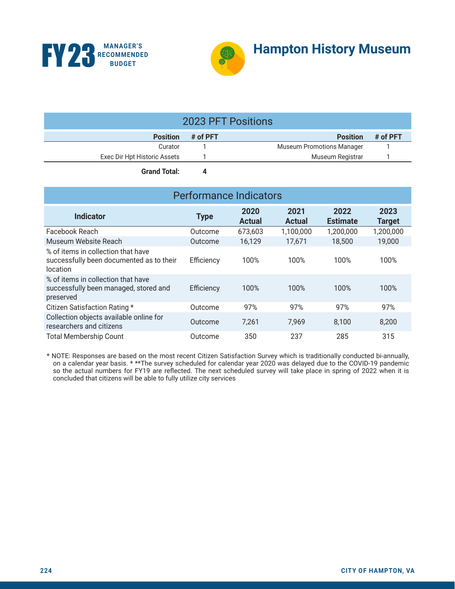



| # of PFT                         | $#$ of PFT      |
|----------------------------------|-----------------|
| <b>Museum Promotions Manager</b> |                 |
| Museum Registrar                 |                 |
|                                  | <b>Position</b> |

### **Grand Total: 4**

| <b>Performance Indicators</b>                                                                     |             |                       |                       |                         |                       |  |  |  |  |  |
|---------------------------------------------------------------------------------------------------|-------------|-----------------------|-----------------------|-------------------------|-----------------------|--|--|--|--|--|
| <b>Indicator</b>                                                                                  | <b>Type</b> | 2020<br><b>Actual</b> | 2021<br><b>Actual</b> | 2022<br><b>Estimate</b> | 2023<br><b>Target</b> |  |  |  |  |  |
| Facebook Reach                                                                                    | Outcome     | 673,603               | 1,100,000             | 1,200,000               | 1,200,000             |  |  |  |  |  |
| Museum Website Reach                                                                              | Outcome     | 16,129                | 17,671                | 18,500                  | 19,000                |  |  |  |  |  |
| % of items in collection that have<br>successfully been documented as to their<br><i>location</i> | Efficiency  | 100%                  | 100%                  | 100%                    | 100%                  |  |  |  |  |  |
| % of items in collection that have<br>successfully been managed, stored and<br>preserved          | Efficiency  | 100%                  | 100%                  | 100%                    | 100%                  |  |  |  |  |  |
| Citizen Satisfaction Rating *                                                                     | Outcome     | 97%                   | 97%                   | 97%                     | 97%                   |  |  |  |  |  |
| Collection objects available online for<br>researchers and citizens                               | Outcome     | 7,261                 | 7,969                 | 8,100                   | 8,200                 |  |  |  |  |  |
| <b>Total Membership Count</b>                                                                     | Outcome     | 350                   | 237                   | 285                     | 315                   |  |  |  |  |  |

\* NOTE: Responses are based on the most recent Citizen Satisfaction Survey which is traditionally conducted bi-annually, on a calendar year basis. \* \*\*The survey scheduled for calendar year 2020 was delayed due to the COVID-19 pandemic so the actual numbers for FY19 are reflected. The next scheduled survey will take place in spring of 2022 when it is concluded that citizens will be able to fully utilize city services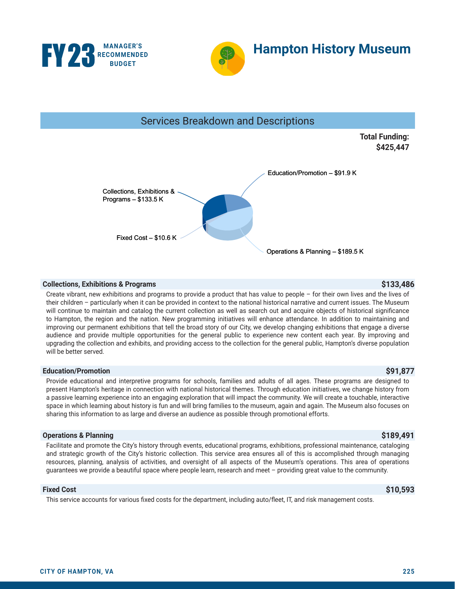





### **Collections, Exhibitions & Programs \$133,486**

Create vibrant, new exhibitions and programs to provide a product that has value to people – for their own lives and the lives of their children – particularly when it can be provided in context to the national historical narrative and current issues. The Museum will continue to maintain and catalog the current collection as well as search out and acquire objects of historical significance to Hampton, the region and the nation. New programming initiatives will enhance attendance. In addition to maintaining and improving our permanent exhibitions that tell the broad story of our City, we develop changing exhibitions that engage a diverse audience and provide multiple opportunities for the general public to experience new content each year. By improving and upgrading the collection and exhibits, and providing access to the collection for the general public, Hampton's diverse population will be better served.

### **Education/Promotion \$91,877**

Provide educational and interpretive programs for schools, families and adults of all ages. These programs are designed to present Hampton's heritage in connection with national historical themes. Through education initiatives, we change history from a passive learning experience into an engaging exploration that will impact the community. We will create a touchable, interactive space in which learning about history is fun and will bring families to the museum, again and again. The Museum also focuses on sharing this information to as large and diverse an audience as possible through promotional efforts.

### **Operations & Planning and State of Contract Contract Contract Contract Contract Contract Contract Contract Contract Contract Contract Contract Contract Contract Contract Contract Contract Contract Contract Contract Contra**

Facilitate and promote the City's history through events, educational programs, exhibitions, professional maintenance, cataloging and strategic growth of the City's historic collection. This service area ensures all of this is accomplished through managing resources, planning, analysis of activities, and oversight of all aspects of the Museum's operations. This area of operations guarantees we provide a beautiful space where people learn, research and meet – providing great value to the community.

### **Fixed Cost \$10,593**

This service accounts for various fixed costs for the department, including auto/fleet, IT, and risk management costs.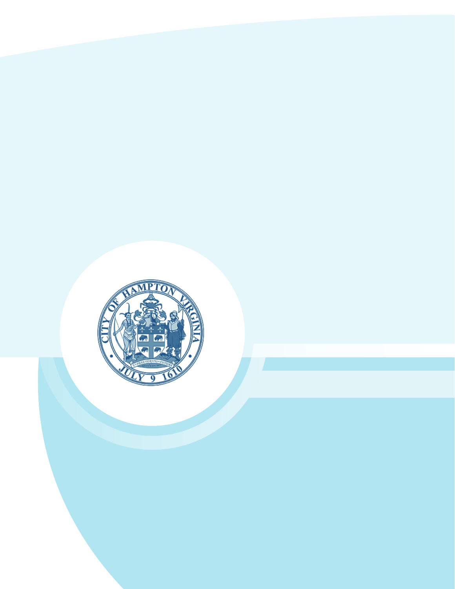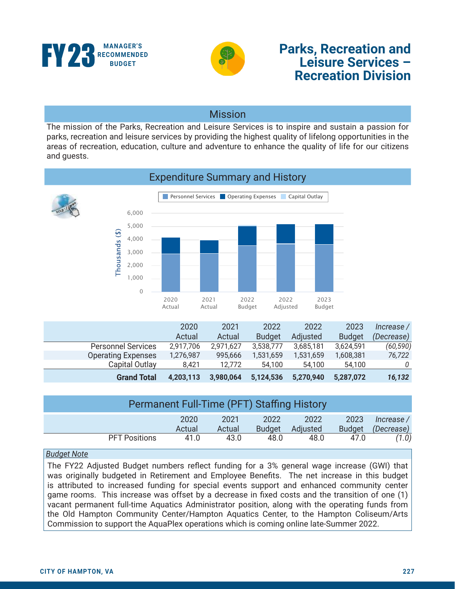



# **Parks, Recreation and Leisure Services – Recreation Division**

## Mission

The mission of the Parks, Recreation and Leisure Services is to inspire and sustain a passion for parks, recreation and leisure services by providing the highest quality of lifelong opportunities in the areas of recreation, education, culture and adventure to enhance the quality of life for our citizens and guests.



|                           | 2020      | 2021      | 2022          | 2022      | 2023          | Increase / |
|---------------------------|-----------|-----------|---------------|-----------|---------------|------------|
|                           | Actual    | Actual    | <b>Budget</b> | Adjusted  | <b>Budget</b> | (Decrease) |
| <b>Personnel Services</b> | 2,917,706 | 2,971,627 | 3,538,777     | 3,685,181 | 3,624,591     | (60, 590)  |
| <b>Operating Expenses</b> | 1,276,987 | 995,666   | 1,531,659     | 1,531,659 | 1,608,381     | 76,722     |
| Capital Outlay            | 8.421     | 12.772    | 54.100        | 54.100    | 54.100        | 0          |
| <b>Grand Total</b>        | 4,203,113 | 3,980,064 | 5,124,536     | 5,270,940 | 5,287,072     | 16,132     |

| Permanent Full-Time (PFT) Staffing History |                      |                |                |                       |                  |                       |                          |  |  |
|--------------------------------------------|----------------------|----------------|----------------|-----------------------|------------------|-----------------------|--------------------------|--|--|
|                                            |                      | 2020<br>Actual | 2021<br>Actual | 2022<br><b>Budget</b> | 2022<br>Adjusted | 2023<br><b>Budget</b> | lncrease /<br>(Decrease) |  |  |
|                                            | <b>PFT Positions</b> | 41.0           | 43.0           | 48.0                  | 48.0             | 47.0                  | (1.0)                    |  |  |

## *Budget Note*

The FY22 Adjusted Budget numbers reflect funding for a 3% general wage increase (GWI) that was originally budgeted in Retirement and Employee Benefits. The net increase in this budget is attributed to increased funding for special events support and enhanced community center game rooms. This increase was offset by a decrease in fixed costs and the transition of one (1) vacant permanent full-time Aquatics Administrator position, along with the operating funds from the Old Hampton Community Center/Hampton Aquatics Center, to the Hampton Coliseum/Arts Commission to support the AquaPlex operations which is coming online late-Summer 2022.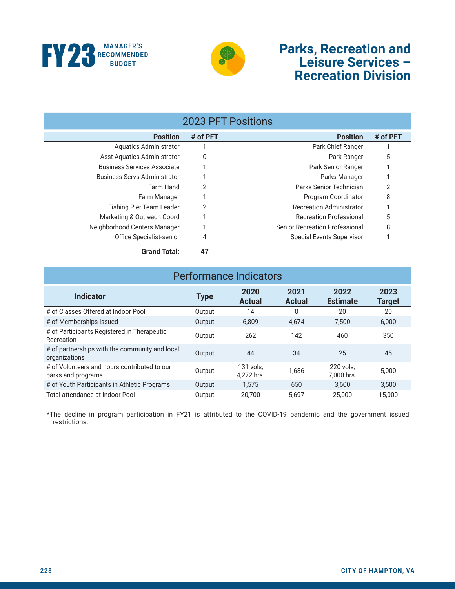



# **Parks, Recreation and Leisure Services – Recreation Division**

| <b>2023 PFT Positions</b>           |          |                                       |                |  |  |  |  |  |
|-------------------------------------|----------|---------------------------------------|----------------|--|--|--|--|--|
| <b>Position</b>                     | # of PFT | <b>Position</b>                       | # of PFT       |  |  |  |  |  |
| <b>Aquatics Administrator</b>       |          | Park Chief Ranger                     |                |  |  |  |  |  |
| <b>Asst Aquatics Administrator</b>  | 0        | Park Ranger                           | 5              |  |  |  |  |  |
| <b>Business Services Associate</b>  |          | Park Senior Ranger                    |                |  |  |  |  |  |
| <b>Business Servs Administrator</b> |          | Parks Manager                         |                |  |  |  |  |  |
| Farm Hand                           | 2        | Parks Senior Technician               | $\overline{2}$ |  |  |  |  |  |
| Farm Manager                        |          | Program Coordinator                   | 8              |  |  |  |  |  |
| Fishing Pier Team Leader            | 2        | <b>Recreation Administrator</b>       |                |  |  |  |  |  |
| Marketing & Outreach Coord          |          | <b>Recreation Professional</b>        | 5              |  |  |  |  |  |
| Neighborhood Centers Manager        |          | <b>Senior Recreation Professional</b> | 8              |  |  |  |  |  |
| Office Specialist-senior            | 4        | <b>Special Events Supervisor</b>      |                |  |  |  |  |  |
| - - - - -                           |          |                                       |                |  |  |  |  |  |

**Grand Total: 47**

| <b>Performance Indicators</b>                                      |             |                         |                       |                         |                       |  |  |  |  |  |
|--------------------------------------------------------------------|-------------|-------------------------|-----------------------|-------------------------|-----------------------|--|--|--|--|--|
| Indicator                                                          | <b>Type</b> | 2020<br><b>Actual</b>   | 2021<br><b>Actual</b> | 2022<br><b>Estimate</b> | 2023<br><b>Target</b> |  |  |  |  |  |
| # of Classes Offered at Indoor Pool                                | Output      | 14                      | 0                     | 20                      | 20                    |  |  |  |  |  |
| # of Memberships Issued                                            | Output      | 6.809                   | 4.674                 | 7.500                   | 6.000                 |  |  |  |  |  |
| # of Participants Registered in Therapeutic<br>Recreation          | Output      | 262                     | 142                   | 460                     | 350                   |  |  |  |  |  |
| # of partnerships with the community and local<br>organizations    | Output      | 44                      | 34                    | 25                      | 45                    |  |  |  |  |  |
| # of Volunteers and hours contributed to our<br>parks and programs | Output      | 131 vols:<br>4,272 hrs. | 1,686                 | 220 vols:<br>7,000 hrs. | 5,000                 |  |  |  |  |  |
| # of Youth Participants in Athletic Programs                       | Output      | 1.575                   | 650                   | 3.600                   | 3.500                 |  |  |  |  |  |
| Total attendance at Indoor Pool                                    | Output      | 20,700                  | 5.697                 | 25,000                  | 15.000                |  |  |  |  |  |

\*The decline in program participation in FY21 is attributed to the COVID-19 pandemic and the government issued restrictions.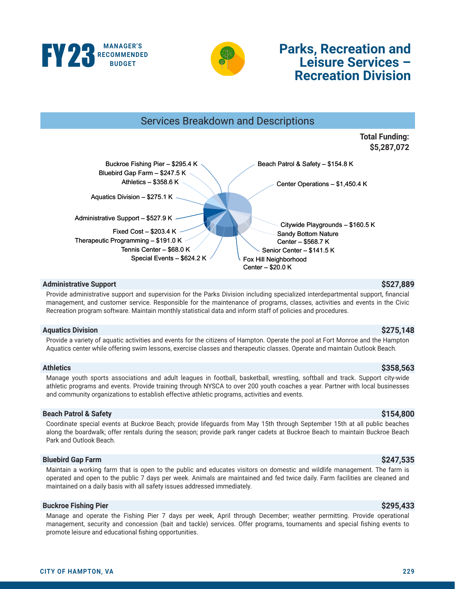



# **Parks, Recreation and Leisure Services – Recreation Division**



### **Administrative Support \$527,889**

Provide administrative support and supervision for the Parks Division including specialized interdepartmental support, financial management, and customer service. Responsible for the maintenance of programs, classes, activities and events in the Civic Recreation program software. Maintain monthly statistical data and inform staff of policies and procedures.

### **Aquatics Division \$275,148**

Provide a variety of aquatic activities and events for the citizens of Hampton. Operate the pool at Fort Monroe and the Hampton Aquatics center while offering swim lessons, exercise classes and therapeutic classes. Operate and maintain Outlook Beach.

Manage youth sports associations and adult leagues in football, basketball, wrestling, softball and track. Support city-wide athletic programs and events. Provide training through NYSCA to over 200 youth coaches a year. Partner with local businesses and community organizations to establish effective athletic programs, activities and events.

### **Beach Patrol & Safety \$154,800**

Coordinate special events at Buckroe Beach; provide lifeguards from May 15th through September 15th at all public beaches along the boardwalk; offer rentals during the season; provide park ranger cadets at Buckroe Beach to maintain Buckroe Beach Park and Outlook Beach.

### **Bluebird Gap Farm \$247,535**

Maintain a working farm that is open to the public and educates visitors on domestic and wildlife management. The farm is operated and open to the public 7 days per week. Animals are maintained and fed twice daily. Farm facilities are cleaned and maintained on a daily basis with all safety issues addressed immediately.

### **Buckroe Fishing Pier \$295,433**

Manage and operate the Fishing Pier 7 days per week, April through December; weather permitting. Provide operational management, security and concession (bait and tackle) services. Offer programs, tournaments and special fishing events to promote leisure and educational fishing opportunities.

### **Athletics \$358,563**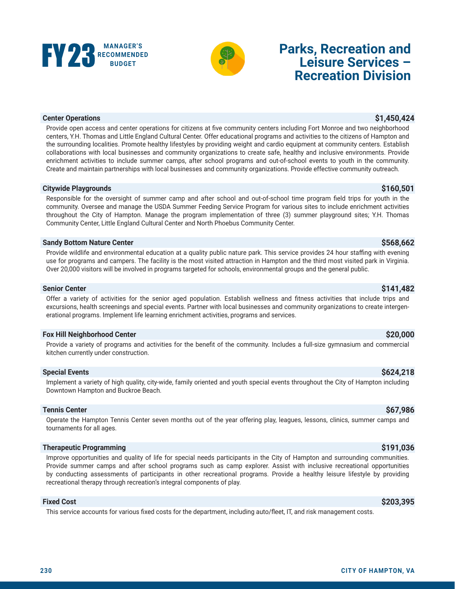### **Center Operations \$1,450,424**

Provide open access and center operations for citizens at five community centers including Fort Monroe and two neighborhood centers, Y.H. Thomas and Little England Cultural Center. Offer educational programs and activities to the citizens of Hampton and the surrounding localities. Promote healthy lifestyles by providing weight and cardio equipment at community centers. Establish collaborations with local businesses and community organizations to create safe, healthy and inclusive environments. Provide enrichment activities to include summer camps, after school programs and out-of-school events to youth in the community. Create and maintain partnerships with local businesses and community organizations. Provide effective community outreach.

### **Citywide Playgrounds \$160,501**

Responsible for the oversight of summer camp and after school and out-of-school time program field trips for youth in the community. Oversee and manage the USDA Summer Feeding Service Program for various sites to include enrichment activities throughout the City of Hampton. Manage the program implementation of three (3) summer playground sites; Y.H. Thomas Community Center, Little England Cultural Center and North Phoebus Community Center.

### **Sandy Bottom Nature Center \$568,662**

Provide wildlife and environmental education at a quality public nature park. This service provides 24 hour staffing with evening use for programs and campers. The facility is the most visited attraction in Hampton and the third most visited park in Virginia. Over 20,000 visitors will be involved in programs targeted for schools, environmental groups and the general public.

### **Senior Center \$141,482**

Offer a variety of activities for the senior aged population. Establish wellness and fitness activities that include trips and excursions, health screenings and special events. Partner with local businesses and community organizations to create intergenerational programs. Implement life learning enrichment activities, programs and services.

### **Fox Hill Neighborhood Center \$20,000**

Provide a variety of programs and activities for the benefit of the community. Includes a full-size gymnasium and commercial kitchen currently under construction.

### **Special Events \$624,218**

Implement a variety of high quality, city-wide, family oriented and youth special events throughout the City of Hampton including Downtown Hampton and Buckroe Beach.

### **Tennis Center \$67,986**

Operate the Hampton Tennis Center seven months out of the year offering play, leagues, lessons, clinics, summer camps and tournaments for all ages.

### **Therapeutic Programming \$191,036**

Improve opportunities and quality of life for special needs participants in the City of Hampton and surrounding communities. Provide summer camps and after school programs such as camp explorer. Assist with inclusive recreational opportunities by conducting assessments of participants in other recreational programs. Provide a healthy leisure lifestyle by providing recreational therapy through recreation's integral components of play.

### **Fixed Cost \$203,395**

This service accounts for various fixed costs for the department, including auto/fleet, IT, and risk management costs.

# **Parks, Recreation and Leisure Services – Recreation Division**

**Manager's Recommended BUDGET**



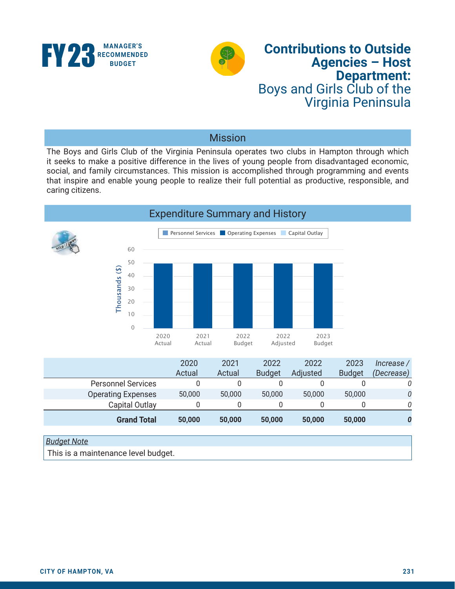



## **Contributions to Outside Agencies – Host Department:** Boys and Girls Club of the Virginia Peninsula

## Mission

The Boys and Girls Club of the Virginia Peninsula operates two clubs in Hampton through which it seeks to make a positive difference in the lives of young people from disadvantaged economic, social, and family circumstances. This mission is accomplished through programming and events that inspire and enable young people to realize their full potential as productive, responsible, and caring citizens.



### 2020 Actual 2021 Actual 2022 **Budget** 2022 Adjusted 2023 Budget *Increase / (Decrease)* Personnel Services 0 0 0 0 0 *0* Operating Expenses 50,000 50,000 50,000 50,000 50,000 *0* Capital Outlay  $0$  0 0 0 0 0 0 0 **Grand Total 50,000 50,000 50,000 50,000 50,000** *0*

## *Budget Note*

This is a maintenance level budget.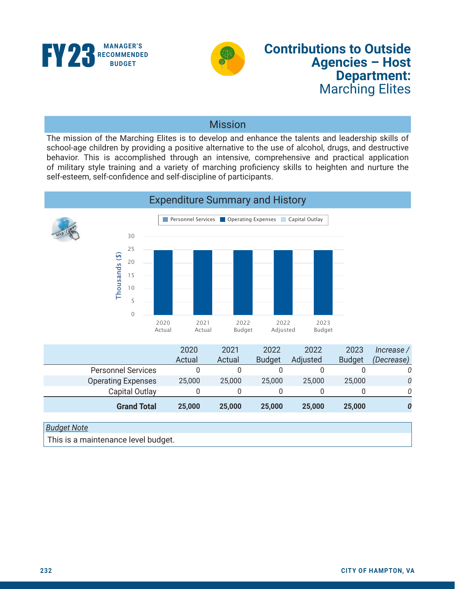



# **Contributions to Outside Agencies – Host Department:** Marching Elites

## Mission

The mission of the Marching Elites is to develop and enhance the talents and leadership skills of school-age children by providing a positive alternative to the use of alcohol, drugs, and destructive behavior. This is accomplished through an intensive, comprehensive and practical application of military style training and a variety of marching proficiency skills to heighten and nurture the self-esteem, self-confidence and self-discipline of participants.



## Expenditure Summary and History

|                           | 2020   | 2021   | 2022          | 2022     | 2023          | Increase /       |
|---------------------------|--------|--------|---------------|----------|---------------|------------------|
|                           | Actual | Actual | <b>Budget</b> | Adjusted | <b>Budget</b> | (Decrease)       |
| <b>Personnel Services</b> |        |        |               |          |               | 0                |
| <b>Operating Expenses</b> | 25,000 | 25,000 | 25,000        | 25,000   | 25,000        | 0                |
| Capital Outlay            |        |        |               |          |               | 0                |
| <b>Grand Total</b>        | 25,000 | 25,000 | 25,000        | 25,000   | 25,000        | $\boldsymbol{0}$ |

## *Budget Note*

This is a maintenance level budget.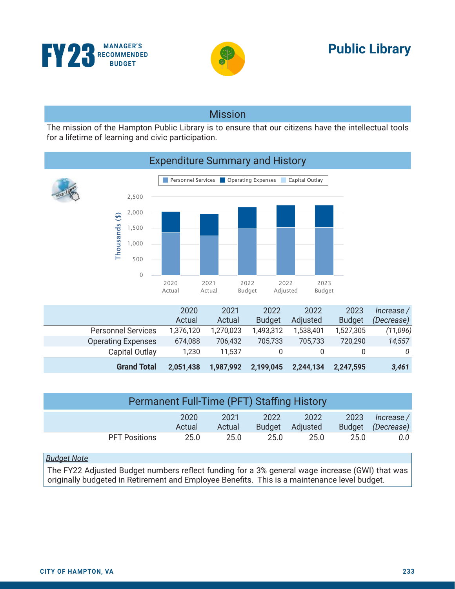



# **Public Library**

## Mission

The mission of the Hampton Public Library is to ensure that our citizens have the intellectual tools for a lifetime of learning and civic participation.



|                           | 2020<br>Actual | 2021<br>Actual | 2022<br><b>Budget</b> | 2022<br>Adjusted | 2023<br><b>Budget</b> | Increase /<br>(Decrease) |
|---------------------------|----------------|----------------|-----------------------|------------------|-----------------------|--------------------------|
| <b>Personnel Services</b> | 1,376,120      | 1,270,023      | 1,493,312             | 1,538,401        | 1,527,305             | (11,096)                 |
| <b>Operating Expenses</b> | 674,088        | 706,432        | 705,733               | 705,733          | 720,290               | 14,557                   |
| Capital Outlay            | 1,230          | 11.537         |                       |                  |                       | 0                        |
| <b>Grand Total</b>        | 2,051,438      | 1,987,992      | 2,199,045             | 2,244,134        | 2.247.595             | 3,461                    |

| Permanent Full-Time (PFT) Staffing History |                      |                |                |                       |                  |                       |                          |  |  |  |
|--------------------------------------------|----------------------|----------------|----------------|-----------------------|------------------|-----------------------|--------------------------|--|--|--|
|                                            |                      | 2020<br>Actual | 2021<br>Actual | 2022<br><b>Budget</b> | 2022<br>Adjusted | 2023<br><b>Budget</b> | Increase /<br>(Decrease) |  |  |  |
|                                            | <b>PFT Positions</b> | 25.0           | 25.0           | 25.0                  | 25.0             | 25.0                  | 0.0                      |  |  |  |

## *Budget Note*

The FY22 Adjusted Budget numbers reflect funding for a 3% general wage increase (GWI) that was originally budgeted in Retirement and Employee Benefits. This is a maintenance level budget.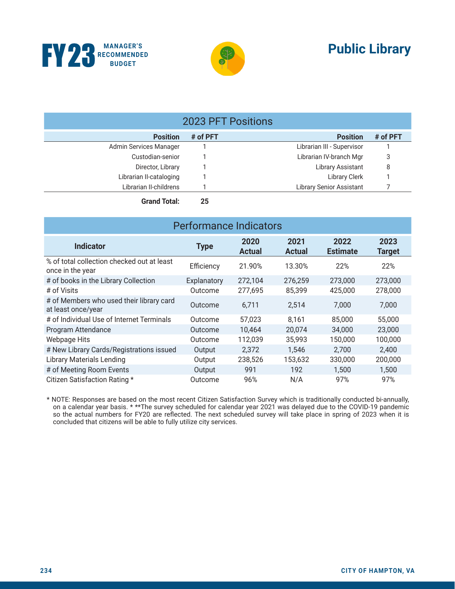



# **Public Library**

| <b>2023 PFT Positions</b> |            |                                 |          |  |  |  |  |
|---------------------------|------------|---------------------------------|----------|--|--|--|--|
| <b>Position</b>           | $#$ of PFT | <b>Position</b>                 | # of PFT |  |  |  |  |
| Admin Services Manager    |            | Librarian III - Supervisor      |          |  |  |  |  |
| Custodian-senior          |            | Librarian IV-branch Mgr         | 3        |  |  |  |  |
| Director, Library         |            | <b>Library Assistant</b>        | 8        |  |  |  |  |
| Librarian II-cataloging   |            | <b>Library Clerk</b>            |          |  |  |  |  |
| Librarian II-childrens    |            | <b>Library Senior Assistant</b> |          |  |  |  |  |

**Grand Total: 25**

| <b>Performance Indicators</b>                                  |             |                       |                       |                         |                       |  |  |  |  |  |
|----------------------------------------------------------------|-------------|-----------------------|-----------------------|-------------------------|-----------------------|--|--|--|--|--|
| <b>Indicator</b>                                               | <b>Type</b> | 2020<br><b>Actual</b> | 2021<br><b>Actual</b> | 2022<br><b>Estimate</b> | 2023<br><b>Target</b> |  |  |  |  |  |
| % of total collection checked out at least<br>once in the year | Efficiency  | 21.90%                | 13.30%                | 22%                     | 22%                   |  |  |  |  |  |
| # of books in the Library Collection                           | Explanatory | 272,104               | 276,259               | 273,000                 | 273,000               |  |  |  |  |  |
| # of Visits                                                    | Outcome     | 277,695               | 85,399                | 425,000                 | 278,000               |  |  |  |  |  |
| # of Members who used their library card<br>at least once/year | Outcome     | 6.711                 | 2,514                 | 7,000                   | 7.000                 |  |  |  |  |  |
| # of Individual Use of Internet Terminals                      | Outcome     | 57,023                | 8,161                 | 85,000                  | 55,000                |  |  |  |  |  |
| Program Attendance                                             | Outcome     | 10.464                | 20,074                | 34,000                  | 23,000                |  |  |  |  |  |
| <b>Webpage Hits</b>                                            | Outcome     | 112,039               | 35,993                | 150,000                 | 100,000               |  |  |  |  |  |
| # New Library Cards/Registrations issued                       | Output      | 2.372                 | 1.546                 | 2,700                   | 2,400                 |  |  |  |  |  |
| <b>Library Materials Lending</b>                               | Output      | 238,526               | 153,632               | 330,000                 | 200,000               |  |  |  |  |  |
| # of Meeting Room Events                                       | Output      | 991                   | 192                   | 1,500                   | 1,500                 |  |  |  |  |  |
| Citizen Satisfaction Rating *                                  | Outcome     | 96%                   | N/A                   | 97%                     | 97%                   |  |  |  |  |  |

\* NOTE: Responses are based on the most recent Citizen Satisfaction Survey which is traditionally conducted bi-annually, on a calendar year basis. \* \*\*The survey scheduled for calendar year 2021 was delayed due to the COVID-19 pandemic so the actual numbers for FY20 are reflected. The next scheduled survey will take place in spring of 2023 when it is concluded that citizens will be able to fully utilize city services.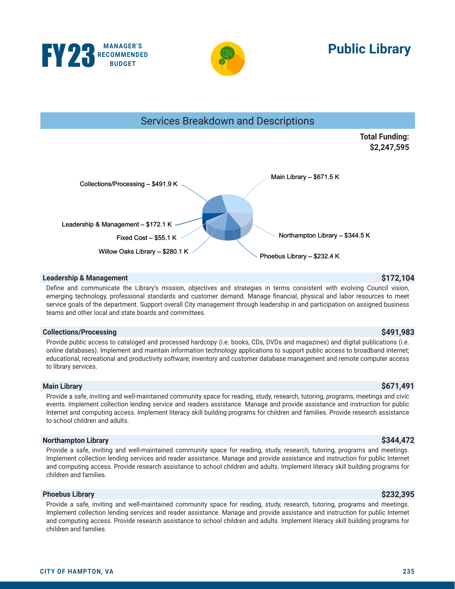







### **Leadership & Management \$172,104**

Define and communicate the Library's mission, objectives and strategies in terms consistent with evolving Council vision, emerging technology, professional standards and customer demand. Manage financial, physical and labor resources to meet service goals of the department. Support overall City management through leadership in and participation on assigned business teams and other local and state boards and committees.

### **Collections/Processing \$491,983**

Provide public access to cataloged and processed hardcopy (i.e. books, CDs, DVDs and magazines) and digital publications (i.e. online databases). Implement and maintain information technology applications to support public access to broadband internet; educational, recreational and productivity software; inventory and customer database management and remote computer access to library services.

### **Main Library \$671,491**

Provide a safe, inviting and well-maintained community space for reading, study, research, tutoring, programs, meetings and civic events. Implement collection lending service and readers assistance. Manage and provide assistance and instruction for public Internet and computing access. Implement literacy skill building programs for children and families. Provide research assistance to school children and adults.

### **Northampton Library \$344,472**

Provide a safe, inviting and well-maintained community space for reading, study, research, tutoring, programs and meetings. Implement collection lending services and reader assistance. Manage and provide assistance and instruction for public Internet and computing access. Provide research assistance to school children and adults. Implement literacy skill building programs for children and families.

### **Phoebus Library \$232,395**

Provide a safe, inviting and well-maintained community space for reading, study, research, tutoring, programs and meetings. Implement collection lending services and reader assistance. Manage and provide assistance and instruction for public Internet and computing access. Provide research assistance to school children and adults. Implement literacy skill building programs for children and families.